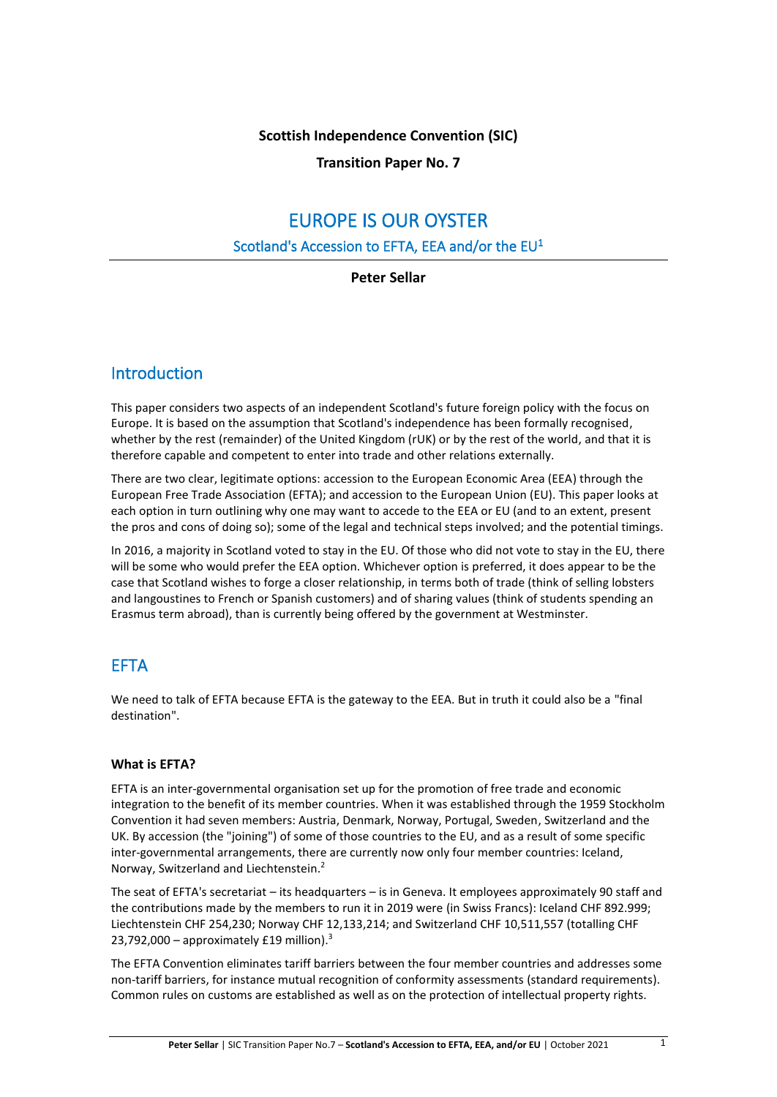### **Scottish Independence Convention (SIC)**

**Transition Paper No. 7**

# EUROPE IS OUR OYSTER

## Scotland's Accession to EFTA, EEA and/or the  $EU<sup>1</sup>$

**Peter Sellar**

# Introduction

This paper considers two aspects of an independent Scotland's future foreign policy with the focus on Europe. It is based on the assumption that Scotland's independence has been formally recognised, whether by the rest (remainder) of the United Kingdom (rUK) or by the rest of the world, and that it is therefore capable and competent to enter into trade and other relations externally.

There are two clear, legitimate options: accession to the European Economic Area (EEA) through the European Free Trade Association (EFTA); and accession to the European Union (EU). This paper looks at each option in turn outlining why one may want to accede to the EEA or EU (and to an extent, present the pros and cons of doing so); some of the legal and technical steps involved; and the potential timings.

In 2016, a majority in Scotland voted to stay in the EU. Of those who did not vote to stay in the EU, there will be some who would prefer the EEA option. Whichever option is preferred, it does appear to be the case that Scotland wishes to forge a closer relationship, in terms both of trade (think of selling lobsters and langoustines to French or Spanish customers) and of sharing values (think of students spending an Erasmus term abroad), than is currently being offered by the government at Westminster.

# EFTA

We need to talk of EFTA because EFTA is the gateway to the EEA. But in truth it could also be a "final destination".

#### **What is EFTA?**

EFTA is an inter-governmental organisation set up for the promotion of free trade and economic integration to the benefit of its member countries. When it was established through the 1959 Stockholm Convention it had seven members: Austria, Denmark, Norway, Portugal, Sweden, Switzerland and the UK. By accession (the "joining") of some of those countries to the EU, and as a result of some specific inter-governmental arrangements, there are currently now only four member countries: Iceland, Norway, Switzerland and Liechtenstein.<sup>2</sup>

The seat of EFTA's secretariat – its headquarters – is in Geneva. It employees approximately 90 staff and the contributions made by the members to run it in 2019 were (in Swiss Francs): Iceland CHF 892.999; Liechtenstein CHF 254,230; Norway CHF 12,133,214; and Switzerland CHF 10,511,557 (totalling CHF 23,792,000 - approximately £19 million).<sup>3</sup>

The EFTA Convention eliminates tariff barriers between the four member countries and addresses some non-tariff barriers, for instance mutual recognition of conformity assessments (standard requirements). Common rules on customs are established as well as on the protection of intellectual property rights.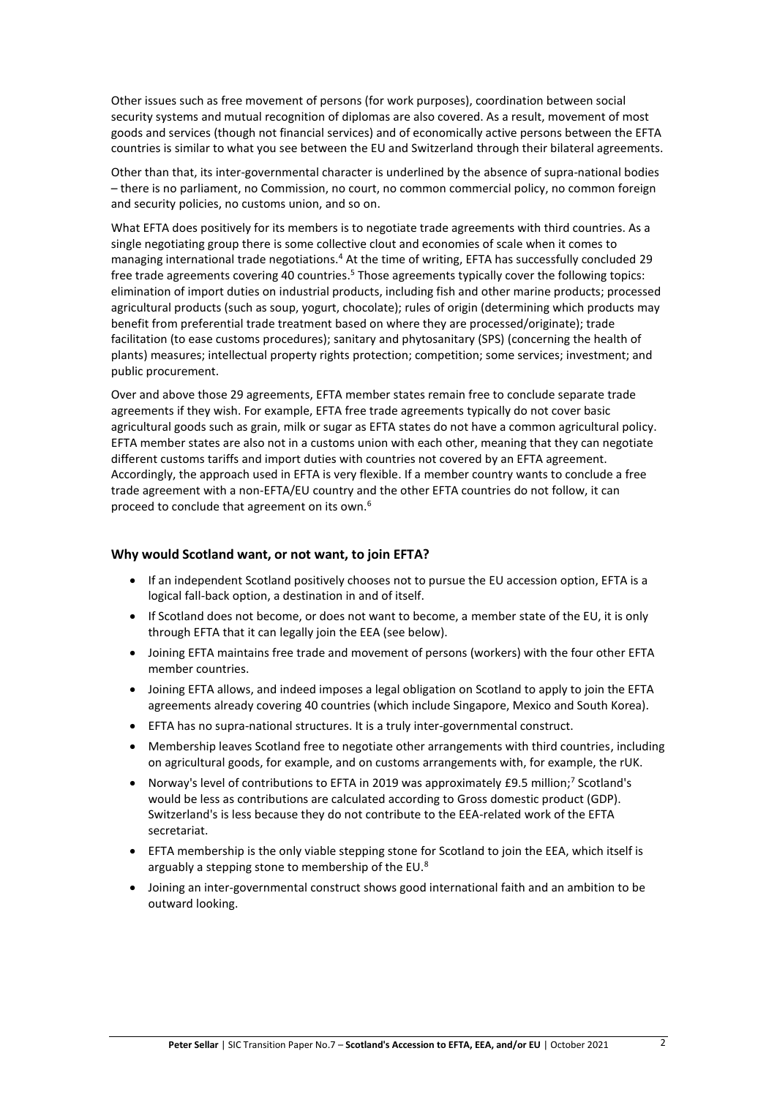Other issues such as free movement of persons (for work purposes), coordination between social security systems and mutual recognition of diplomas are also covered. As a result, movement of most goods and services (though not financial services) and of economically active persons between the EFTA countries is similar to what you see between the EU and Switzerland through their bilateral agreements.

Other than that, its inter-governmental character is underlined by the absence of supra-national bodies – there is no parliament, no Commission, no court, no common commercial policy, no common foreign and security policies, no customs union, and so on.

What EFTA does positively for its members is to negotiate trade agreements with third countries. As a single negotiating group there is some collective clout and economies of scale when it comes to managing international trade negotiations.<sup>4</sup> At the time of writing, EFTA has successfully concluded 29 free trade agreements covering 40 countries.<sup>5</sup> Those agreements typically cover the following topics: elimination of import duties on industrial products, including fish and other marine products; processed agricultural products (such as soup, yogurt, chocolate); rules of origin (determining which products may benefit from preferential trade treatment based on where they are processed/originate); trade facilitation (to ease customs procedures); sanitary and phytosanitary (SPS) (concerning the health of plants) measures; intellectual property rights protection; competition; some services; investment; and public procurement.

Over and above those 29 agreements, EFTA member states remain free to conclude separate trade agreements if they wish. For example, EFTA free trade agreements typically do not cover basic agricultural goods such as grain, milk or sugar as EFTA states do not have a common agricultural policy. EFTA member states are also not in a customs union with each other, meaning that they can negotiate different customs tariffs and import duties with countries not covered by an EFTA agreement. Accordingly, the approach used in EFTA is very flexible. If a member country wants to conclude a free trade agreement with a non-EFTA/EU country and the other EFTA countries do not follow, it can proceed to conclude that agreement on its own.<sup>6</sup>

#### **Why would Scotland want, or not want, to join EFTA?**

- If an independent Scotland positively chooses not to pursue the EU accession option, EFTA is a logical fall-back option, a destination in and of itself.
- If Scotland does not become, or does not want to become, a member state of the EU, it is only through EFTA that it can legally join the EEA (see below).
- Joining EFTA maintains free trade and movement of persons (workers) with the four other EFTA member countries.
- Joining EFTA allows, and indeed imposes a legal obligation on Scotland to apply to join the EFTA agreements already covering 40 countries (which include Singapore, Mexico and South Korea).
- EFTA has no supra-national structures. It is a truly inter-governmental construct.
- Membership leaves Scotland free to negotiate other arrangements with third countries, including on agricultural goods, for example, and on customs arrangements with, for example, the rUK.
- Norway's level of contributions to EFTA in 2019 was approximately £9.5 million;<sup>7</sup> Scotland's would be less as contributions are calculated according to Gross domestic product (GDP). Switzerland's is less because they do not contribute to the EEA-related work of the EFTA secretariat.
- EFTA membership is the only viable stepping stone for Scotland to join the EEA, which itself is arguably a stepping stone to membership of the EU.<sup>8</sup>
- Joining an inter-governmental construct shows good international faith and an ambition to be outward looking.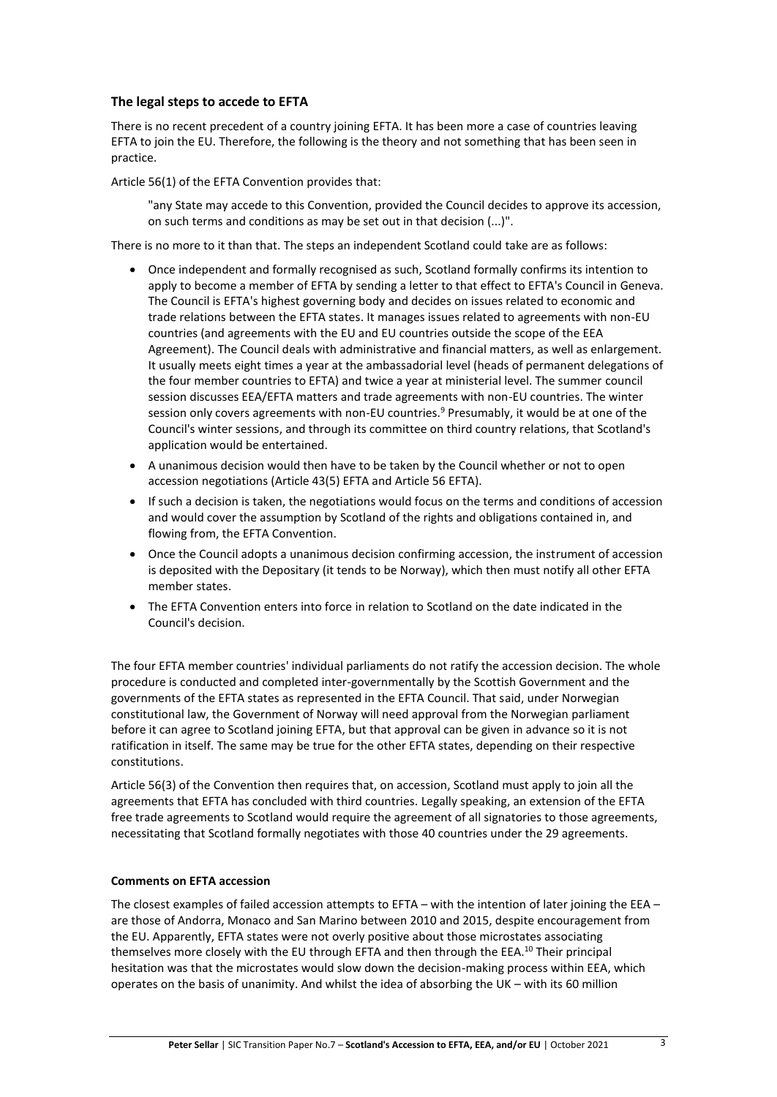#### **The legal steps to accede to EFTA**

There is no recent precedent of a country joining EFTA. It has been more a case of countries leaving EFTA to join the EU. Therefore, the following is the theory and not something that has been seen in practice.

Article 56(1) of the EFTA Convention provides that:

"any State may accede to this Convention, provided the Council decides to approve its accession, on such terms and conditions as may be set out in that decision (...)".

There is no more to it than that. The steps an independent Scotland could take are as follows:

- Once independent and formally recognised as such, Scotland formally confirms its intention to apply to become a member of EFTA by sending a letter to that effect to EFTA's Council in Geneva. The Council is EFTA's highest governing body and decides on issues related to economic and trade relations between the EFTA states. It manages issues related to agreements with non-EU countries (and agreements with the EU and EU countries outside the scope of the EEA Agreement). The Council deals with administrative and financial matters, as well as enlargement. It usually meets eight times a year at the ambassadorial level (heads of permanent delegations of the four member countries to EFTA) and twice a year at ministerial level. The summer council session discusses EEA/EFTA matters and trade agreements with non-EU countries. The winter session only covers agreements with non-EU countries.<sup>9</sup> Presumably, it would be at one of the Council's winter sessions, and through its committee on third country relations, that Scotland's application would be entertained.
- A unanimous decision would then have to be taken by the Council whether or not to open accession negotiations (Article 43(5) EFTA and Article 56 EFTA).
- If such a decision is taken, the negotiations would focus on the terms and conditions of accession and would cover the assumption by Scotland of the rights and obligations contained in, and flowing from, the EFTA Convention.
- Once the Council adopts a unanimous decision confirming accession, the instrument of accession is deposited with the Depositary (it tends to be Norway), which then must notify all other EFTA member states.
- The EFTA Convention enters into force in relation to Scotland on the date indicated in the Council's decision.

The four EFTA member countries' individual parliaments do not ratify the accession decision. The whole procedure is conducted and completed inter-governmentally by the Scottish Government and the governments of the EFTA states as represented in the EFTA Council. That said, under Norwegian constitutional law, the Government of Norway will need approval from the Norwegian parliament before it can agree to Scotland joining EFTA, but that approval can be given in advance so it is not ratification in itself. The same may be true for the other EFTA states, depending on their respective constitutions.

Article 56(3) of the Convention then requires that, on accession, Scotland must apply to join all the agreements that EFTA has concluded with third countries. Legally speaking, an extension of the EFTA free trade agreements to Scotland would require the agreement of all signatories to those agreements, necessitating that Scotland formally negotiates with those 40 countries under the 29 agreements.

#### **Comments on EFTA accession**

The closest examples of failed accession attempts to EFTA – with the intention of later joining the EEA – are those of Andorra, Monaco and San Marino between 2010 and 2015, despite encouragement from the EU. Apparently, EFTA states were not overly positive about those microstates associating themselves more closely with the EU through EFTA and then through the EEA.<sup>10</sup> Their principal hesitation was that the microstates would slow down the decision-making process within EEA, which operates on the basis of unanimity. And whilst the idea of absorbing the UK – with its 60 million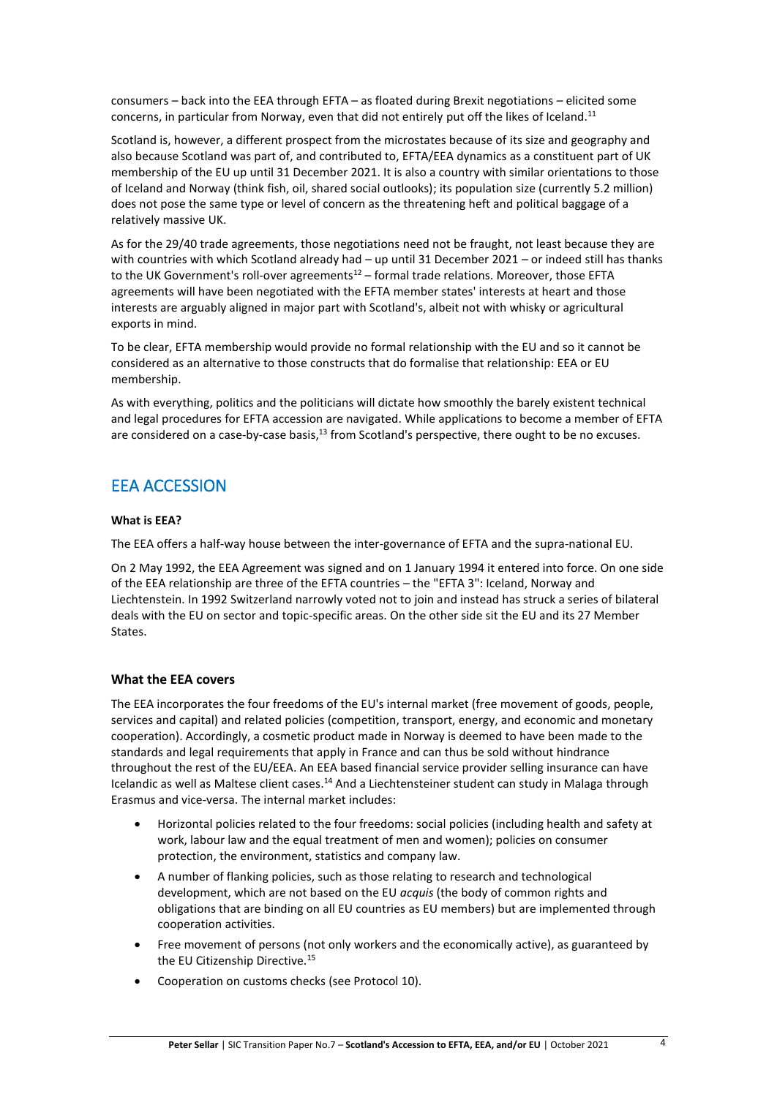consumers – back into the EEA through EFTA – as floated during Brexit negotiations – elicited some concerns, in particular from Norway, even that did not entirely put off the likes of Iceland.<sup>11</sup>

Scotland is, however, a different prospect from the microstates because of its size and geography and also because Scotland was part of, and contributed to, EFTA/EEA dynamics as a constituent part of UK membership of the EU up until 31 December 2021. It is also a country with similar orientations to those of Iceland and Norway (think fish, oil, shared social outlooks); its population size (currently 5.2 million) does not pose the same type or level of concern as the threatening heft and political baggage of a relatively massive UK.

As for the 29/40 trade agreements, those negotiations need not be fraught, not least because they are with countries with which Scotland already had – up until 31 December 2021 – or indeed still has thanks to the UK Government's roll-over agreements $12 -$  formal trade relations. Moreover, those EFTA agreements will have been negotiated with the EFTA member states' interests at heart and those interests are arguably aligned in major part with Scotland's, albeit not with whisky or agricultural exports in mind.

To be clear, EFTA membership would provide no formal relationship with the EU and so it cannot be considered as an alternative to those constructs that do formalise that relationship: EEA or EU membership.

As with everything, politics and the politicians will dictate how smoothly the barely existent technical and legal procedures for EFTA accession are navigated. While applications to become a member of EFTA are considered on a case-by-case basis,<sup>13</sup> from Scotland's perspective, there ought to be no excuses.

# EEA ACCESSION

#### **What is EEA?**

The EEA offers a half-way house between the inter-governance of EFTA and the supra-national EU.

On 2 May 1992, the EEA Agreement was signed and on 1 January 1994 it entered into force. On one side of the EEA relationship are three of the EFTA countries – the "EFTA 3": Iceland, Norway and Liechtenstein. In 1992 Switzerland narrowly voted not to join and instead has struck a series of bilateral deals with the EU on sector and topic-specific areas. On the other side sit the EU and its 27 Member States.

#### **What the EEA covers**

The EEA incorporates the four freedoms of the EU's internal market (free movement of goods, people, services and capital) and related policies (competition, transport, energy, and economic and monetary cooperation). Accordingly, a cosmetic product made in Norway is deemed to have been made to the standards and legal requirements that apply in France and can thus be sold without hindrance throughout the rest of the EU/EEA. An EEA based financial service provider selling insurance can have Icelandic as well as Maltese client cases.<sup>14</sup> And a Liechtensteiner student can study in Malaga through Erasmus and vice-versa. The internal market includes:

- Horizontal policies related to the four freedoms: social policies (including health and safety at work, labour law and the equal treatment of men and women); policies on consumer protection, the environment, statistics and company law.
- A number of flanking policies, such as those relating to research and technological development, which are not based on the EU *acquis* (the body of common rights and obligations that are binding on all EU countries as EU members) but are implemented through cooperation activities.
- Free movement of persons (not only workers and the economically active), as guaranteed by the EU Citizenship Directive.<sup>15</sup>
- Cooperation on customs checks (see Protocol 10).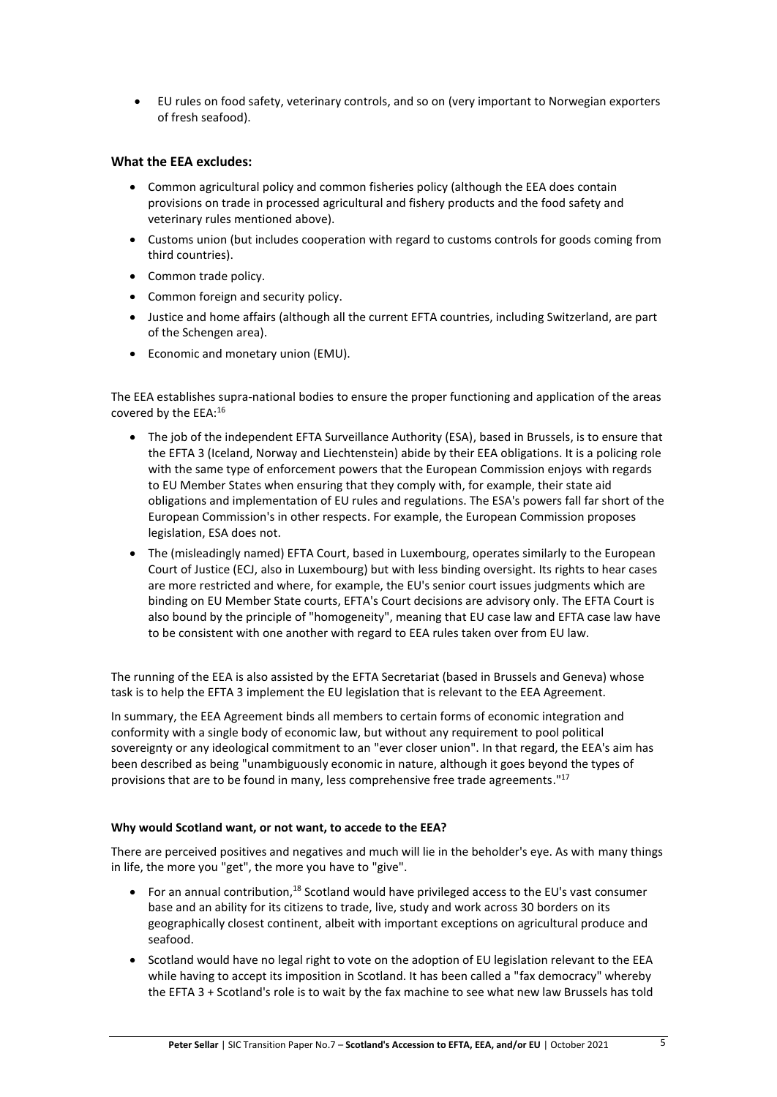• EU rules on food safety, veterinary controls, and so on (very important to Norwegian exporters of fresh seafood).

#### **What the EEA excludes:**

- Common agricultural policy and common fisheries policy (although the EEA does contain provisions on trade in processed agricultural and fishery products and the food safety and veterinary rules mentioned above).
- Customs union (but includes cooperation with regard to customs controls for goods coming from third countries).
- Common trade policy.
- Common foreign and security policy.
- Justice and home affairs (although all the current EFTA countries, including Switzerland, are part of the Schengen area).
- Economic and monetary union (EMU).

The EEA establishes supra-national bodies to ensure the proper functioning and application of the areas covered by the EEA:<sup>16</sup>

- The job of the independent EFTA Surveillance Authority (ESA), based in Brussels, is to ensure that the EFTA 3 (Iceland, Norway and Liechtenstein) abide by their EEA obligations. It is a policing role with the same type of enforcement powers that the European Commission enjoys with regards to EU Member States when ensuring that they comply with, for example, their state aid obligations and implementation of EU rules and regulations. The ESA's powers fall far short of the European Commission's in other respects. For example, the European Commission proposes legislation, ESA does not.
- The (misleadingly named) EFTA Court, based in Luxembourg, operates similarly to the European Court of Justice (ECJ, also in Luxembourg) but with less binding oversight. Its rights to hear cases are more restricted and where, for example, the EU's senior court issues judgments which are binding on EU Member State courts, EFTA's Court decisions are advisory only. The EFTA Court is also bound by the principle of "homogeneity", meaning that EU case law and EFTA case law have to be consistent with one another with regard to EEA rules taken over from EU law.

The running of the EEA is also assisted by the EFTA Secretariat (based in Brussels and Geneva) whose task is to help the EFTA 3 implement the EU legislation that is relevant to the EEA Agreement.

In summary, the EEA Agreement binds all members to certain forms of economic integration and conformity with a single body of economic law, but without any requirement to pool political sovereignty or any ideological commitment to an "ever closer union". In that regard, the EEA's aim has been described as being "unambiguously economic in nature, although it goes beyond the types of provisions that are to be found in many, less comprehensive free trade agreements."<sup>17</sup>

#### **Why would Scotland want, or not want, to accede to the EEA?**

There are perceived positives and negatives and much will lie in the beholder's eye. As with many things in life, the more you "get", the more you have to "give".

- For an annual contribution,<sup>18</sup> Scotland would have privileged access to the EU's vast consumer base and an ability for its citizens to trade, live, study and work across 30 borders on its geographically closest continent, albeit with important exceptions on agricultural produce and seafood.
- Scotland would have no legal right to vote on the adoption of EU legislation relevant to the EEA while having to accept its imposition in Scotland. It has been called a "fax democracy" whereby the EFTA 3 + Scotland's role is to wait by the fax machine to see what new law Brussels has told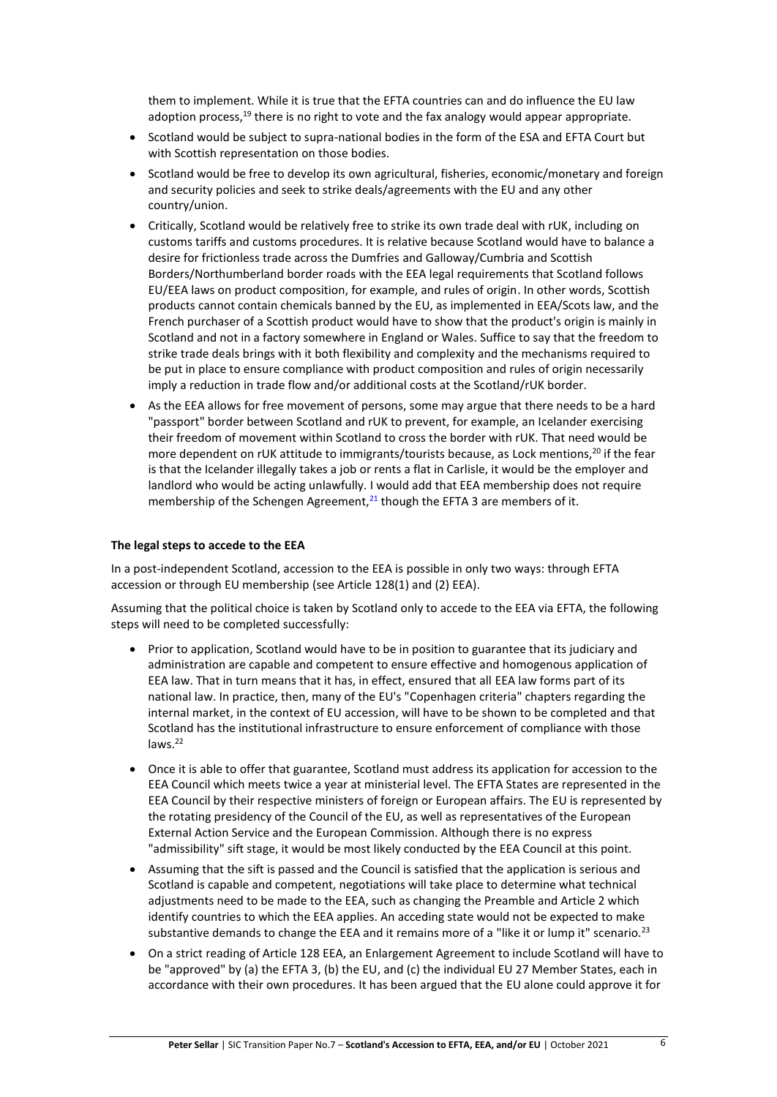them to implement. While it is true that the EFTA countries can and do influence the EU law adoption process, $19$  there is no right to vote and the fax analogy would appear appropriate.

- Scotland would be subject to supra-national bodies in the form of the ESA and EFTA Court but with Scottish representation on those bodies.
- Scotland would be free to develop its own agricultural, fisheries, economic/monetary and foreign and security policies and seek to strike deals/agreements with the EU and any other country/union.
- Critically, Scotland would be relatively free to strike its own trade deal with rUK, including on customs tariffs and customs procedures. It is relative because Scotland would have to balance a desire for frictionless trade across the Dumfries and Galloway/Cumbria and Scottish Borders/Northumberland border roads with the EEA legal requirements that Scotland follows EU/EEA laws on product composition, for example, and rules of origin. In other words, Scottish products cannot contain chemicals banned by the EU, as implemented in EEA/Scots law, and the French purchaser of a Scottish product would have to show that the product's origin is mainly in Scotland and not in a factory somewhere in England or Wales. Suffice to say that the freedom to strike trade deals brings with it both flexibility and complexity and the mechanisms required to be put in place to ensure compliance with product composition and rules of origin necessarily imply a reduction in trade flow and/or additional costs at the Scotland/rUK border.
- As the EEA allows for free movement of persons, some may argue that there needs to be a hard "passport" border between Scotland and rUK to prevent, for example, an Icelander exercising their freedom of movement within Scotland to cross the border with rUK. That need would be more dependent on rUK attitude to immigrants/tourists because, as Lock mentions,<sup>20</sup> if the fear is that the Icelander illegally takes a job or rents a flat in Carlisle, it would be the employer and landlord who would be acting unlawfully. I would add that EEA membership does not require membership of the Schengen Agreement, $^{21}$  though the EFTA 3 are members of it.

#### **The legal steps to accede to the EEA**

In a post-independent Scotland, accession to the EEA is possible in only two ways: through EFTA accession or through EU membership (see Article 128(1) and (2) EEA).

Assuming that the political choice is taken by Scotland only to accede to the EEA via EFTA, the following steps will need to be completed successfully:

- Prior to application, Scotland would have to be in position to guarantee that its judiciary and administration are capable and competent to ensure effective and homogenous application of EEA law. That in turn means that it has, in effect, ensured that all EEA law forms part of its national law. In practice, then, many of the EU's "Copenhagen criteria" chapters regarding the internal market, in the context of EU accession, will have to be shown to be completed and that Scotland has the institutional infrastructure to ensure enforcement of compliance with those laws.<sup>22</sup>
- Once it is able to offer that guarantee, Scotland must address its application for accession to the EEA Council which meets twice a year at ministerial level. The EFTA States are represented in the EEA Council by their respective ministers of foreign or European affairs. The EU is represented by the rotating presidency of the Council of the EU, as well as representatives of the European External Action Service and the European Commission. Although there is no express "admissibility" sift stage, it would be most likely conducted by the EEA Council at this point.
- Assuming that the sift is passed and the Council is satisfied that the application is serious and Scotland is capable and competent, negotiations will take place to determine what technical adjustments need to be made to the EEA, such as changing the Preamble and Article 2 which identify countries to which the EEA applies. An acceding state would not be expected to make substantive demands to change the EEA and it remains more of a "like it or lump it" scenario.<sup>23</sup>
- On a strict reading of Article 128 EEA, an Enlargement Agreement to include Scotland will have to be "approved" by (a) the EFTA 3, (b) the EU, and (c) the individual EU 27 Member States, each in accordance with their own procedures. It has been argued that the EU alone could approve it for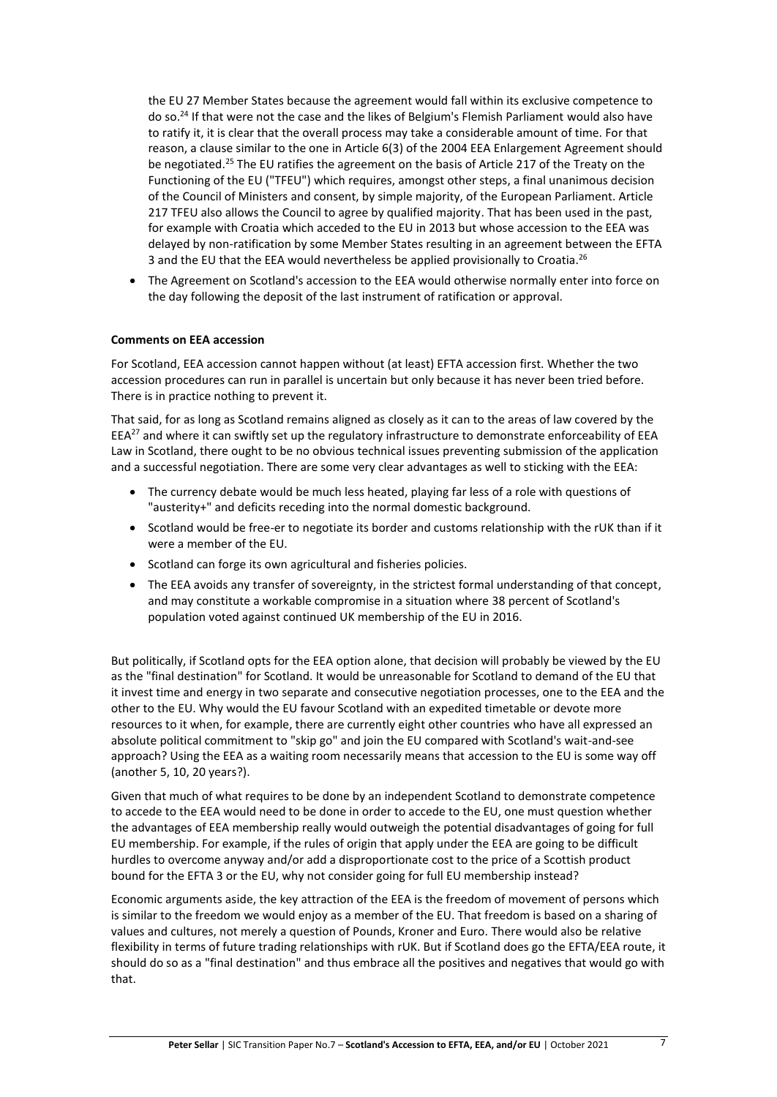the EU 27 Member States because the agreement would fall within its exclusive competence to do so.<sup>24</sup> If that were not the case and the likes of Belgium's Flemish Parliament would also have to ratify it, it is clear that the overall process may take a considerable amount of time. For that reason, a clause similar to the one in Article 6(3) of the 2004 EEA Enlargement Agreement should be negotiated.<sup>25</sup> The EU ratifies the agreement on the basis of Article 217 of the Treaty on the Functioning of the EU ("TFEU") which requires, amongst other steps, a final unanimous decision of the Council of Ministers and consent, by simple majority, of the European Parliament. Article 217 TFEU also allows the Council to agree by qualified majority. That has been used in the past, for example with Croatia which acceded to the EU in 2013 but whose accession to the EEA was delayed by non-ratification by some Member States resulting in an agreement between the EFTA 3 and the EU that the EEA would nevertheless be applied provisionally to Croatia.<sup>26</sup>

• The Agreement on Scotland's accession to the EEA would otherwise normally enter into force on the day following the deposit of the last instrument of ratification or approval.

#### **Comments on EEA accession**

For Scotland, EEA accession cannot happen without (at least) EFTA accession first. Whether the two accession procedures can run in parallel is uncertain but only because it has never been tried before. There is in practice nothing to prevent it.

That said, for as long as Scotland remains aligned as closely as it can to the areas of law covered by the  $EEA^{27}$  and where it can swiftly set up the regulatory infrastructure to demonstrate enforceability of EEA Law in Scotland, there ought to be no obvious technical issues preventing submission of the application and a successful negotiation. There are some very clear advantages as well to sticking with the EEA:

- The currency debate would be much less heated, playing far less of a role with questions of "austerity+" and deficits receding into the normal domestic background.
- Scotland would be free-er to negotiate its border and customs relationship with the rUK than if it were a member of the EU.
- Scotland can forge its own agricultural and fisheries policies.
- The EEA avoids any transfer of sovereignty, in the strictest formal understanding of that concept, and may constitute a workable compromise in a situation where 38 percent of Scotland's population voted against continued UK membership of the EU in 2016.

But politically, if Scotland opts for the EEA option alone, that decision will probably be viewed by the EU as the "final destination" for Scotland. It would be unreasonable for Scotland to demand of the EU that it invest time and energy in two separate and consecutive negotiation processes, one to the EEA and the other to the EU. Why would the EU favour Scotland with an expedited timetable or devote more resources to it when, for example, there are currently eight other countries who have all expressed an absolute political commitment to "skip go" and join the EU compared with Scotland's wait-and-see approach? Using the EEA as a waiting room necessarily means that accession to the EU is some way off (another 5, 10, 20 years?).

Given that much of what requires to be done by an independent Scotland to demonstrate competence to accede to the EEA would need to be done in order to accede to the EU, one must question whether the advantages of EEA membership really would outweigh the potential disadvantages of going for full EU membership. For example, if the rules of origin that apply under the EEA are going to be difficult hurdles to overcome anyway and/or add a disproportionate cost to the price of a Scottish product bound for the EFTA 3 or the EU, why not consider going for full EU membership instead?

Economic arguments aside, the key attraction of the EEA is the freedom of movement of persons which is similar to the freedom we would enjoy as a member of the EU. That freedom is based on a sharing of values and cultures, not merely a question of Pounds, Kroner and Euro. There would also be relative flexibility in terms of future trading relationships with rUK. But if Scotland does go the EFTA/EEA route, it should do so as a "final destination" and thus embrace all the positives and negatives that would go with that.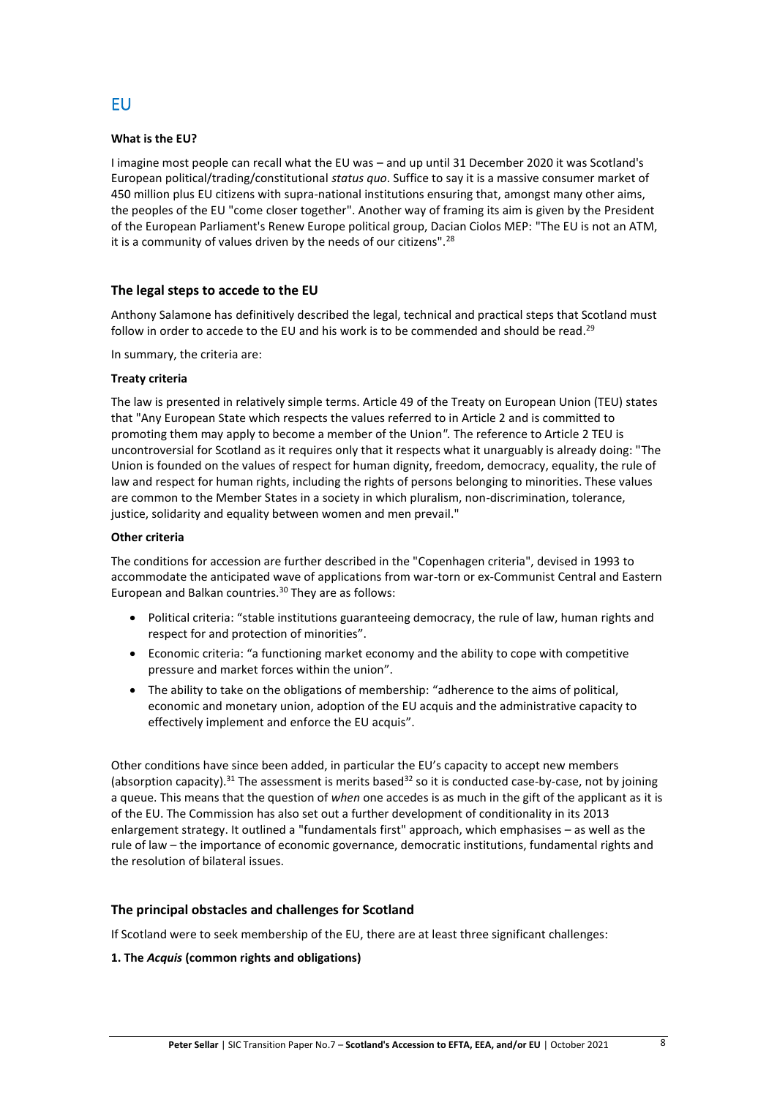#### **What is the EU?**

I imagine most people can recall what the EU was – and up until 31 December 2020 it was Scotland's European political/trading/constitutional *status quo*. Suffice to say it is a massive consumer market of 450 million plus EU citizens with supra-national institutions ensuring that, amongst many other aims, the peoples of the EU "come closer together". Another way of framing its aim is given by the President of the European Parliament's Renew Europe political group, Dacian Ciolos MEP: "The EU is not an ATM, it is a community of values driven by the needs of our citizens".<sup>28</sup>

#### **The legal steps to accede to the EU**

Anthony Salamone has definitively described the legal, technical and practical steps that Scotland must follow in order to accede to the EU and his work is to be commended and should be read.<sup>29</sup>

In summary, the criteria are:

#### **Treaty criteria**

The law is presented in relatively simple terms. Article 49 of the Treaty on European Union (TEU) states that "Any European State which respects the values referred to in Article 2 and is committed to promoting them may apply to become a member of the Union*".* The reference to Article 2 TEU is uncontroversial for Scotland as it requires only that it respects what it unarguably is already doing: "The Union is founded on the values of respect for human dignity, freedom, democracy, equality, the rule of law and respect for human rights, including the rights of persons belonging to minorities. These values are common to the Member States in a society in which pluralism, non-discrimination, tolerance, justice, solidarity and equality between women and men prevail."

#### **Other criteria**

The conditions for accession are further described in the "Copenhagen criteria", devised in 1993 to accommodate the anticipated wave of applications from war-torn or ex-Communist Central and Eastern European and Balkan countries.<sup>30</sup> They are as follows:

- Political criteria: "stable institutions guaranteeing democracy, the rule of law, human rights and respect for and protection of minorities".
- Economic criteria: "a functioning market economy and the ability to cope with competitive pressure and market forces within the union".
- The ability to take on the obligations of membership: "adherence to the aims of political, economic and monetary union, adoption of the EU acquis and the administrative capacity to effectively implement and enforce the EU acquis".

Other conditions have since been added, in particular the EU's capacity to accept new members (absorption capacity).<sup>31</sup> The assessment is merits based<sup>32</sup> so it is conducted case-by-case, not by joining a queue. This means that the question of *when* one accedes is as much in the gift of the applicant as it is of the EU. The Commission has also set out a further development of conditionality in its 2013 enlargement strategy. It outlined a "fundamentals first" approach, which emphasises – as well as the rule of law – the importance of economic governance, democratic institutions, fundamental rights and the resolution of bilateral issues.

#### **The principal obstacles and challenges for Scotland**

If Scotland were to seek membership of the EU, there are at least three significant challenges:

#### **1. The** *Acquis* **(common rights and obligations)**

## EU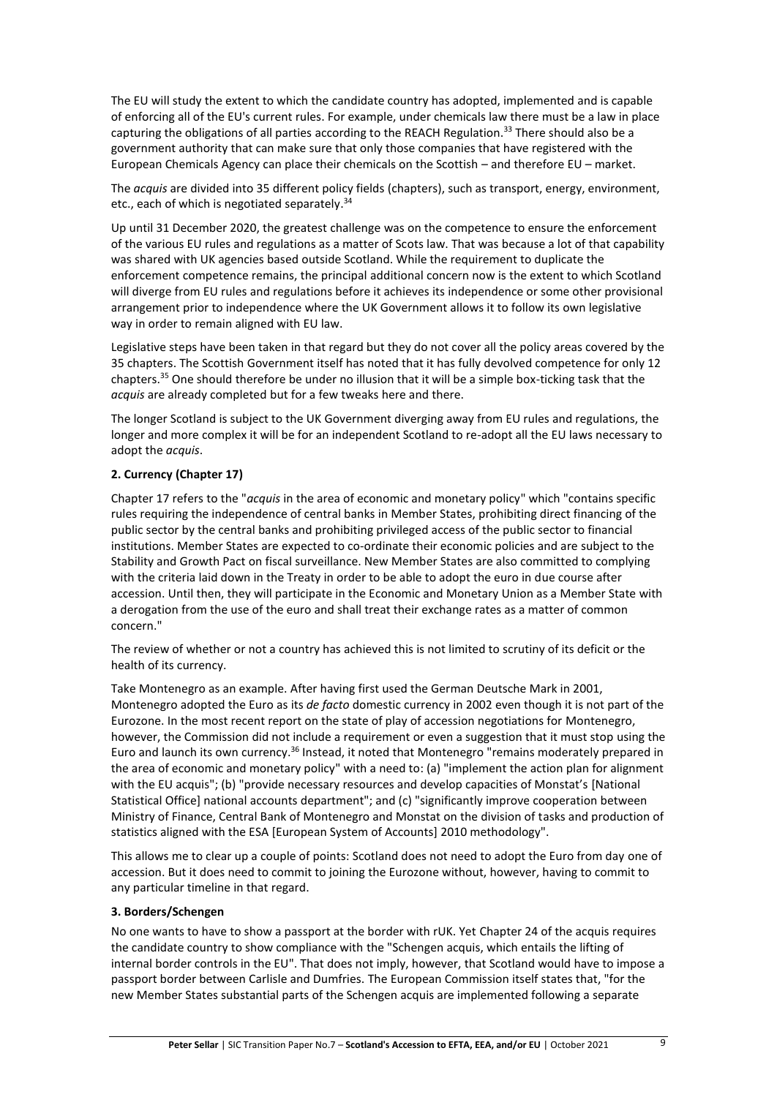The EU will study the extent to which the candidate country has adopted, implemented and is capable of enforcing all of the EU's current rules. For example, under chemicals law there must be a law in place capturing the obligations of all parties according to the REACH Regulation.<sup>33</sup> There should also be a government authority that can make sure that only those companies that have registered with the European Chemicals Agency can place their chemicals on the Scottish – and therefore EU – market.

The *acquis* are divided into 35 different policy fields (chapters), such as transport, energy, environment, etc., each of which is negotiated separately. 34

Up until 31 December 2020, the greatest challenge was on the competence to ensure the enforcement of the various EU rules and regulations as a matter of Scots law. That was because a lot of that capability was shared with UK agencies based outside Scotland. While the requirement to duplicate the enforcement competence remains, the principal additional concern now is the extent to which Scotland will diverge from EU rules and regulations before it achieves its independence or some other provisional arrangement prior to independence where the UK Government allows it to follow its own legislative way in order to remain aligned with EU law.

Legislative steps have been taken in that regard but they do not cover all the policy areas covered by the 35 chapters. The Scottish Government itself has noted that it has fully devolved competence for only 12 chapters.<sup>35</sup> One should therefore be under no illusion that it will be a simple box-ticking task that the *acquis* are already completed but for a few tweaks here and there.

The longer Scotland is subject to the UK Government diverging away from EU rules and regulations, the longer and more complex it will be for an independent Scotland to re-adopt all the EU laws necessary to adopt the *acquis*.

#### **2. Currency (Chapter 17)**

Chapter 17 refers to the "*acquis* in the area of economic and monetary policy" which "contains specific rules requiring the independence of central banks in Member States, prohibiting direct financing of the public sector by the central banks and prohibiting privileged access of the public sector to financial institutions. Member States are expected to co-ordinate their economic policies and are subject to the Stability and Growth Pact on fiscal surveillance. New Member States are also committed to complying with the criteria laid down in the Treaty in order to be able to adopt the euro in due course after accession. Until then, they will participate in the Economic and Monetary Union as a Member State with a derogation from the use of the euro and shall treat their exchange rates as a matter of common concern."

The review of whether or not a country has achieved this is not limited to scrutiny of its deficit or the health of its currency.

Take Montenegro as an example. After having first used the German Deutsche Mark in 2001, Montenegro adopted the Euro as its *de facto* domestic currency in 2002 even though it is not part of the Eurozone. In the most recent report on the state of play of accession negotiations for Montenegro, however, the Commission did not include a requirement or even a suggestion that it must stop using the Euro and launch its own currency.<sup>36</sup> Instead, it noted that Montenegro "remains moderately prepared in the area of economic and monetary policy" with a need to: (a) "implement the action plan for alignment with the EU acquis"; (b) "provide necessary resources and develop capacities of Monstat's [National Statistical Office] national accounts department"; and (c) "significantly improve cooperation between Ministry of Finance, Central Bank of Montenegro and Monstat on the division of tasks and production of statistics aligned with the ESA [European System of Accounts] 2010 methodology".

This allows me to clear up a couple of points: Scotland does not need to adopt the Euro from day one of accession. But it does need to commit to joining the Eurozone without, however, having to commit to any particular timeline in that regard.

#### **3. Borders/Schengen**

No one wants to have to show a passport at the border with rUK. Yet Chapter 24 of the acquis requires the candidate country to show compliance with the "Schengen acquis, which entails the lifting of internal border controls in the EU". That does not imply, however, that Scotland would have to impose a passport border between Carlisle and Dumfries. The European Commission itself states that, "for the new Member States substantial parts of the Schengen acquis are implemented following a separate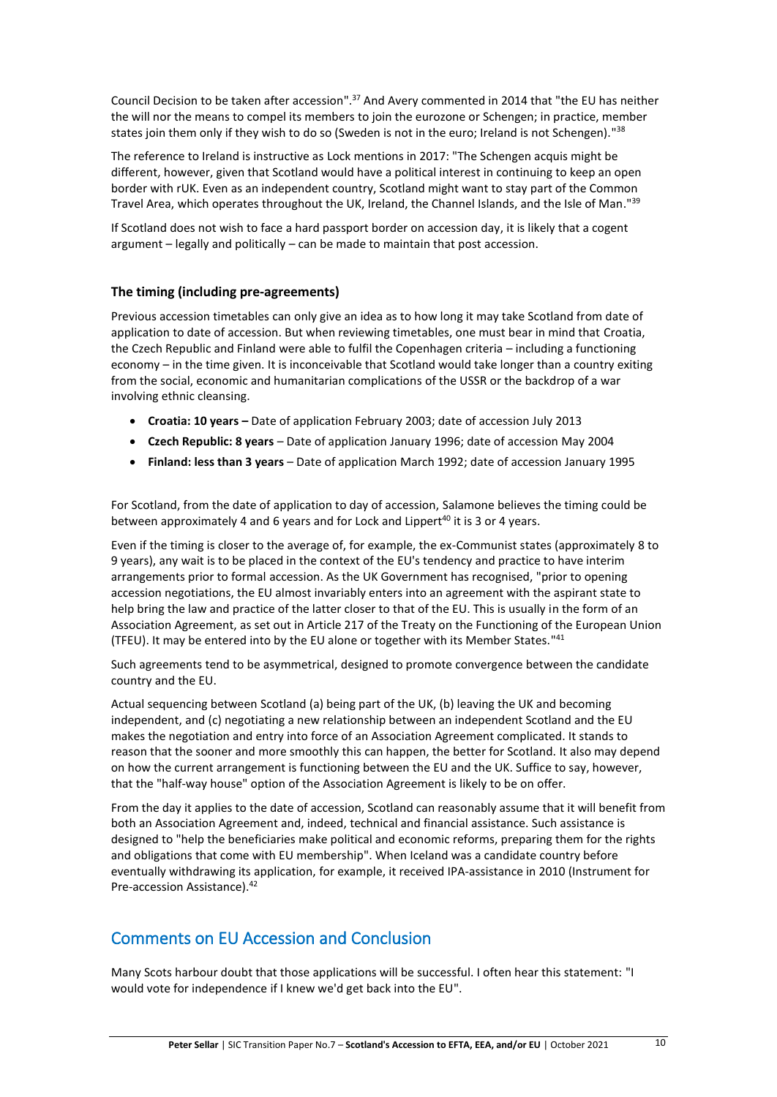Council Decision to be taken after accession".<sup>37</sup> And Avery commented in 2014 that "the EU has neither the will nor the means to compel its members to join the eurozone or Schengen; in practice, member states join them only if they wish to do so (Sweden is not in the euro; Ireland is not Schengen)."<sup>38</sup>

The reference to Ireland is instructive as Lock mentions in 2017: "The Schengen acquis might be different, however, given that Scotland would have a political interest in continuing to keep an open border with rUK. Even as an independent country, Scotland might want to stay part of the Common Travel Area, which operates throughout the UK, Ireland, the Channel Islands, and the Isle of Man."<sup>39</sup>

If Scotland does not wish to face a hard passport border on accession day, it is likely that a cogent argument – legally and politically – can be made to maintain that post accession.

#### **The timing (including pre-agreements)**

Previous accession timetables can only give an idea as to how long it may take Scotland from date of application to date of accession. But when reviewing timetables, one must bear in mind that Croatia, the Czech Republic and Finland were able to fulfil the Copenhagen criteria – including a functioning economy – in the time given. It is inconceivable that Scotland would take longer than a country exiting from the social, economic and humanitarian complications of the USSR or the backdrop of a war involving ethnic cleansing.

- **Croatia: 10 years –** Date of application February 2003; date of accession July 2013
- **Czech Republic: 8 years** Date of application January 1996; date of accession May 2004
- **Finland: less than 3 years** Date of application March 1992; date of accession January 1995

For Scotland, from the date of application to day of accession, Salamone believes the timing could be between approximately 4 and 6 years and for Lock and Lippert<sup>40</sup> it is 3 or 4 years.

Even if the timing is closer to the average of, for example, the ex-Communist states (approximately 8 to 9 years), any wait is to be placed in the context of the EU's tendency and practice to have interim arrangements prior to formal accession. As the UK Government has recognised, "prior to opening accession negotiations, the EU almost invariably enters into an agreement with the aspirant state to help bring the law and practice of the latter closer to that of the EU. This is usually in the form of an Association Agreement, as set out in Article 217 of the Treaty on the Functioning of the European Union (TFEU). It may be entered into by the EU alone or together with its Member States."<sup>41</sup>

Such agreements tend to be asymmetrical, designed to promote convergence between the candidate country and the EU.

Actual sequencing between Scotland (a) being part of the UK, (b) leaving the UK and becoming independent, and (c) negotiating a new relationship between an independent Scotland and the EU makes the negotiation and entry into force of an Association Agreement complicated. It stands to reason that the sooner and more smoothly this can happen, the better for Scotland. It also may depend on how the current arrangement is functioning between the EU and the UK. Suffice to say, however, that the "half-way house" option of the Association Agreement is likely to be on offer.

From the day it applies to the date of accession, Scotland can reasonably assume that it will benefit from both an Association Agreement and, indeed, technical and financial assistance. Such assistance is designed to "help the beneficiaries make political and economic reforms, preparing them for the rights and obligations that come with EU membership". When Iceland was a candidate country before eventually withdrawing its application, for example, it received IPA-assistance in 2010 (Instrument for Pre-accession Assistance). 42

## Comments on EU Accession and Conclusion

Many Scots harbour doubt that those applications will be successful. I often hear this statement: "I would vote for independence if I knew we'd get back into the EU".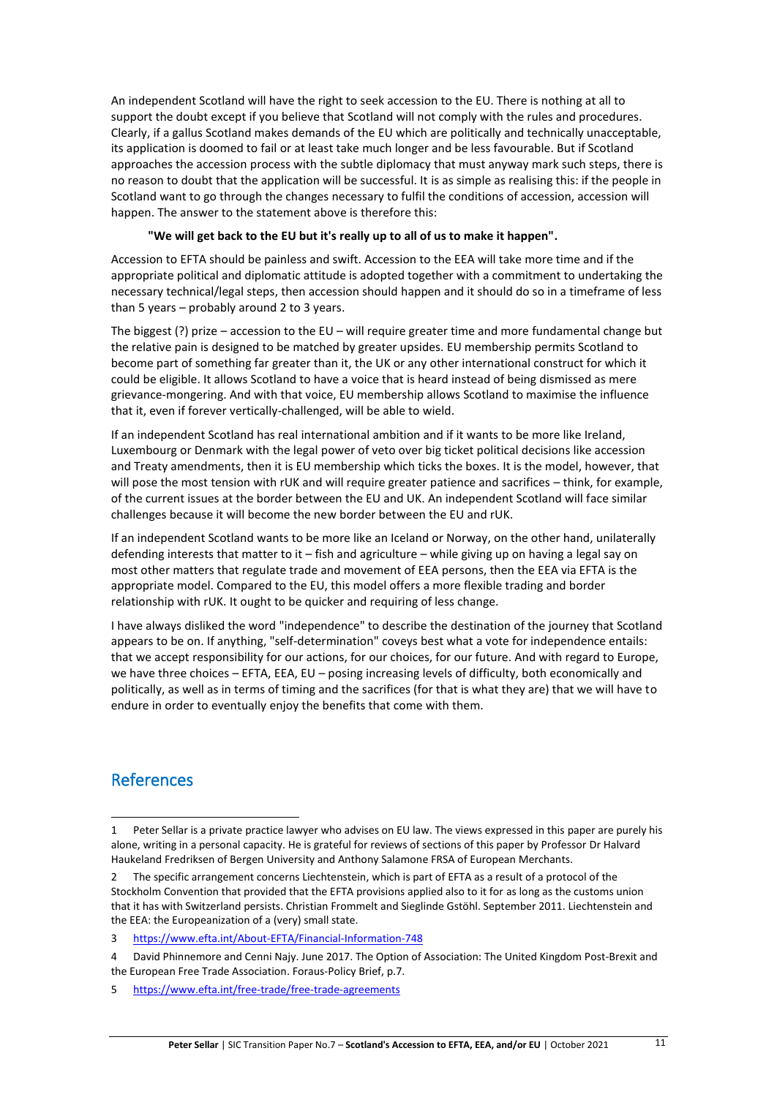An independent Scotland will have the right to seek accession to the EU. There is nothing at all to support the doubt except if you believe that Scotland will not comply with the rules and procedures. Clearly, if a gallus Scotland makes demands of the EU which are politically and technically unacceptable, its application is doomed to fail or at least take much longer and be less favourable. But if Scotland approaches the accession process with the subtle diplomacy that must anyway mark such steps, there is no reason to doubt that the application will be successful. It is as simple as realising this: if the people in Scotland want to go through the changes necessary to fulfil the conditions of accession, accession will happen. The answer to the statement above is therefore this:

#### **"We will get back to the EU but it's really up to all of us to make it happen".**

Accession to EFTA should be painless and swift. Accession to the EEA will take more time and if the appropriate political and diplomatic attitude is adopted together with a commitment to undertaking the necessary technical/legal steps, then accession should happen and it should do so in a timeframe of less than 5 years – probably around 2 to 3 years.

The biggest (?) prize – accession to the EU – will require greater time and more fundamental change but the relative pain is designed to be matched by greater upsides. EU membership permits Scotland to become part of something far greater than it, the UK or any other international construct for which it could be eligible. It allows Scotland to have a voice that is heard instead of being dismissed as mere grievance-mongering. And with that voice, EU membership allows Scotland to maximise the influence that it, even if forever vertically-challenged, will be able to wield.

If an independent Scotland has real international ambition and if it wants to be more like Ireland, Luxembourg or Denmark with the legal power of veto over big ticket political decisions like accession and Treaty amendments, then it is EU membership which ticks the boxes. It is the model, however, that will pose the most tension with rUK and will require greater patience and sacrifices – think, for example, of the current issues at the border between the EU and UK. An independent Scotland will face similar challenges because it will become the new border between the EU and rUK.

If an independent Scotland wants to be more like an Iceland or Norway, on the other hand, unilaterally defending interests that matter to it – fish and agriculture – while giving up on having a legal say on most other matters that regulate trade and movement of EEA persons, then the EEA via EFTA is the appropriate model. Compared to the EU, this model offers a more flexible trading and border relationship with rUK. It ought to be quicker and requiring of less change.

I have always disliked the word "independence" to describe the destination of the journey that Scotland appears to be on. If anything, "self-determination" coveys best what a vote for independence entails: that we accept responsibility for our actions, for our choices, for our future. And with regard to Europe, we have three choices – EFTA, EEA, EU – posing increasing levels of difficulty, both economically and politically, as well as in terms of timing and the sacrifices (for that is what they are) that we will have to endure in order to eventually enjoy the benefits that come with them.

## References

<sup>1</sup> Peter Sellar is a private practice lawyer who advises on EU law. The views expressed in this paper are purely his alone, writing in a personal capacity. He is grateful for reviews of sections of this paper by Professor Dr Halvard Haukeland Fredriksen of Bergen University and Anthony Salamone FRSA of European Merchants.

The specific arrangement concerns Liechtenstein, which is part of EFTA as a result of a protocol of the Stockholm Convention that provided that the EFTA provisions applied also to it for as long as the customs union that it has with Switzerland persists. Christian Frommelt and Sieglinde Gstöhl. September 2011. Liechtenstein and the EEA: the Europeanization of a (very) small state.

<sup>3</sup> <https://www.efta.int/About-EFTA/Financial-Information-748>

<sup>4</sup> David Phinnemore and Cenni Najy. June 2017. The Option of Association: The United Kingdom Post-Brexit and the European Free Trade Association. Foraus-Policy Brief, p.7.

<sup>5</sup> <https://www.efta.int/free-trade/free-trade-agreements>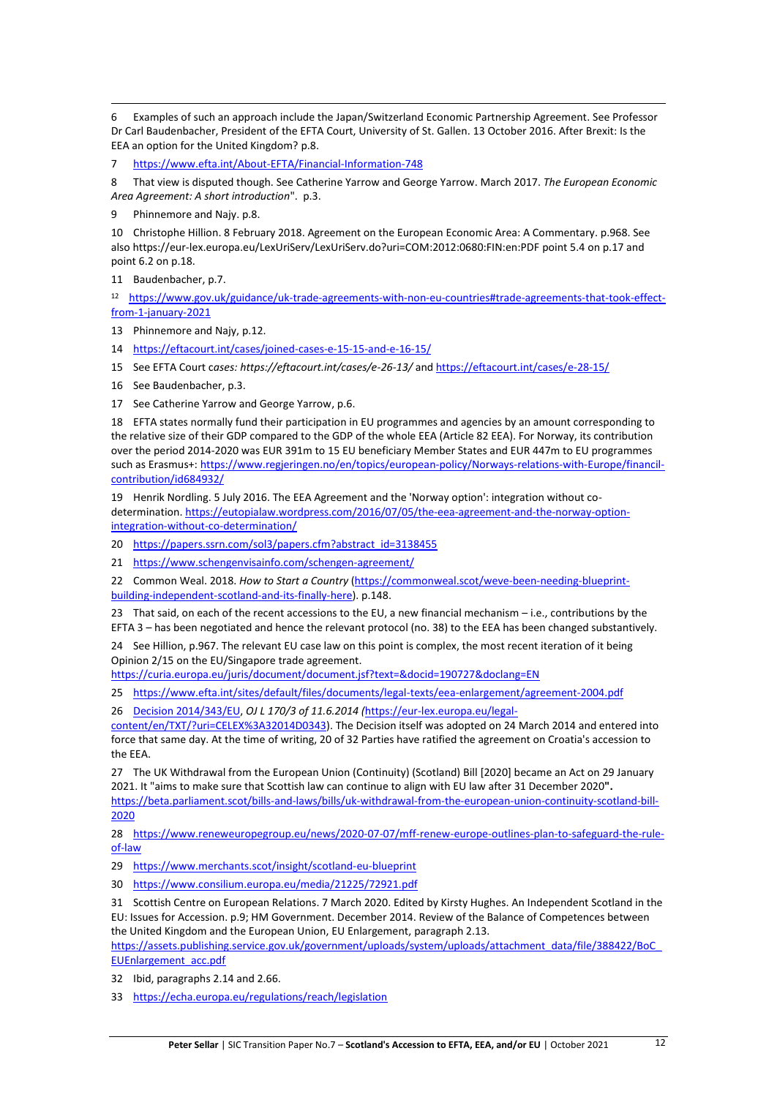6 Examples of such an approach include the Japan/Switzerland Economic Partnership Agreement. See Professor Dr Carl Baudenbacher, President of the EFTA Court, University of St. Gallen. 13 October 2016. After Brexit: Is the EEA an option for the United Kingdom? p.8.

7 <https://www.efta.int/About-EFTA/Financial-Information-748>

8 That view is disputed though. See Catherine Yarrow and George Yarrow. March 2017. *The European Economic Area Agreement: A short introduction*". p.3.

9 Phinnemore and Najy. p.8.

10 Christophe Hillion. 8 February 2018. Agreement on the European Economic Area: A Commentary. p.968. See also https://eur-lex.europa.eu/LexUriServ/LexUriServ.do?uri=COM:2012:0680:FIN:en:PDF point 5.4 on p.17 and point 6.2 on p.18.

11 Baudenbacher, p.7.

<sup>12</sup> [https://www.gov.uk/guidance/uk-trade-agreements-with-non-eu-countries#trade-agreements-that-took-effect](https://www.gov.uk/guidance/uk-trade-agreements-with-non-eu-countries#trade-agreements-that-took-effect-from-1-january-2021)[from-1-january-2021](https://www.gov.uk/guidance/uk-trade-agreements-with-non-eu-countries#trade-agreements-that-took-effect-from-1-january-2021)

13 Phinnemore and Najy, p.12.

14 <https://eftacourt.int/cases/joined-cases-e-15-15-and-e-16-15/>

15 See EFTA Court c*ases: https://eftacourt.int/cases/e-26-13/* and <https://eftacourt.int/cases/e-28-15/>

16 See Baudenbacher, p.3.

17 See Catherine Yarrow and George Yarrow, p.6.

18 EFTA states normally fund their participation in EU programmes and agencies by an amount corresponding to the relative size of their GDP compared to the GDP of the whole EEA (Article 82 EEA). For Norway, its contribution over the period 2014-2020 was EUR 391m to 15 EU beneficiary Member States and EUR 447m to EU programmes such as Erasmus+[: https://www.regjeringen.no/en/topics/european-policy/Norways-relations-with-Europe/financil](https://www.regjeringen.no/en/topics/european-policy/Norways-relations-with-Europe/financil-contribution/id684932/)[contribution/id684932/](https://www.regjeringen.no/en/topics/european-policy/Norways-relations-with-Europe/financil-contribution/id684932/)

19 Henrik Nordling. 5 July 2016. The EEA Agreement and the 'Norway option': integration without codetermination. [https://eutopialaw.wordpress.com/2016/07/05/the-eea-agreement-and-the-norway-option](https://eutopialaw.wordpress.com/2016/07/05/the-eea-agreement-and-the-norway-option-integration-without-co-determination/)[integration-without-co-determination/](https://eutopialaw.wordpress.com/2016/07/05/the-eea-agreement-and-the-norway-option-integration-without-co-determination/)

20 [https://papers.ssrn.com/sol3/papers.cfm?abstract\\_id=3138455](https://papers.ssrn.com/sol3/papers.cfm?abstract_id=3138455)

21 https://www.schengenvisainfo.com/schengen-agreement/

22 Common Weal. 2018. *How to Start a Country* [\(https://commonweal.scot/weve-been-needing-blueprint](https://commonweal.scot/weve-been-needing-blueprint-building-independent-scotland-and-its-finally-here)[building-independent-scotland-and-its-finally-here\)](https://commonweal.scot/weve-been-needing-blueprint-building-independent-scotland-and-its-finally-here). p.148.

23 That said, on each of the recent accessions to the EU, a new financial mechanism – i.e., contributions by the EFTA 3 – has been negotiated and hence the relevant protocol (no. 38) to the EEA has been changed substantively.

24 See Hillion, p.967. The relevant EU case law on this point is complex, the most recent iteration of it being Opinion 2/15 on the EU/Singapore trade agreement.

<https://curia.europa.eu/juris/document/document.jsf?text=&docid=190727&doclang=EN>

25 <https://www.efta.int/sites/default/files/documents/legal-texts/eea-enlargement/agreement-2004.pdf>

26 [Decision 2014/343/EU,](https://eur-lex.europa.eu/legal-content/en/TXT/?uri=CELEX%3A32014D0343) *OJ L 170/3 of 11.6.2014 (*[https://eur-lex.europa.eu/legal-](https://eur-lex.europa.eu/legal-content/en/TXT/?uri=CELEX%3A32014D0343)

[content/en/TXT/?uri=CELEX%3A32014D0343\)](https://eur-lex.europa.eu/legal-content/en/TXT/?uri=CELEX%3A32014D0343). The Decision itself was adopted on 24 March 2014 and entered into force that same day. At the time of writing, 20 of 32 Parties have ratified the agreement on Croatia's accession to the EEA.

27 The UK Withdrawal from the European Union (Continuity) (Scotland) Bill [2020] became an Act on 29 January 2021. It "aims to make sure that Scottish law can continue to align with EU law after 31 December 2020**".**  [https://beta.parliament.scot/bills-and-laws/bills/uk-withdrawal-from-the-european-union-continuity-scotland-bill-](https://beta.parliament.scot/bills-and-laws/bills/uk-withdrawal-from-the-european-union-continuity-scotland-bill-2020)[2020](https://beta.parliament.scot/bills-and-laws/bills/uk-withdrawal-from-the-european-union-continuity-scotland-bill-2020)

28 [https://www.reneweuropegroup.eu/news/2020-07-07/mff-renew-europe-outlines-plan-to-safeguard-the-rule](https://www.reneweuropegroup.eu/news/2020-07-07/mff-renew-europe-outlines-plan-to-safeguard-the-rule-of-law)[of-law](https://www.reneweuropegroup.eu/news/2020-07-07/mff-renew-europe-outlines-plan-to-safeguard-the-rule-of-law)

29 <https://www.merchants.scot/insight/scotland-eu-blueprint>

30 <https://www.consilium.europa.eu/media/21225/72921.pdf>

31 Scottish Centre on European Relations. 7 March 2020. Edited by Kirsty Hughes. An Independent Scotland in the EU: Issues for Accession. p.9; HM Government. December 2014. Review of the Balance of Competences between the United Kingdom and the European Union, EU Enlargement, paragraph 2.13.

[https://assets.publishing.service.gov.uk/government/uploads/system/uploads/attachment\\_data/file/388422/BoC\\_](https://assets.publishing.service.gov.uk/government/uploads/system/uploads/attachment_data/file/388422/BoC_EUEnlargement_acc.pdf) [EUEnlargement\\_acc.pdf](https://assets.publishing.service.gov.uk/government/uploads/system/uploads/attachment_data/file/388422/BoC_EUEnlargement_acc.pdf)

32 Ibid, paragraphs 2.14 and 2.66.

33 <https://echa.europa.eu/regulations/reach/legislation>